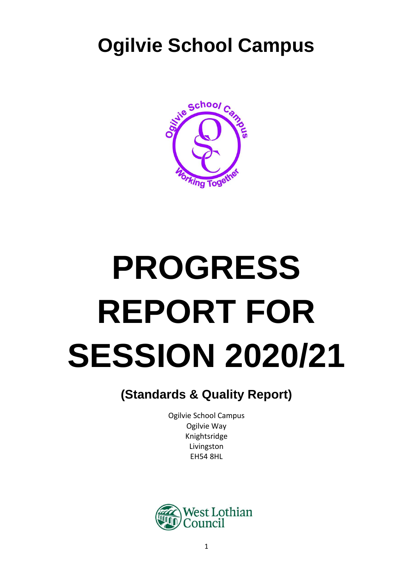## **Ogilvie School Campus**



# **PROGRESS REPORT FOR SESSION 2020/21**

### **(Standards & Quality Report)**

Ogilvie School Campus Ogilvie Way Knightsridge Livingston EH54 8HL

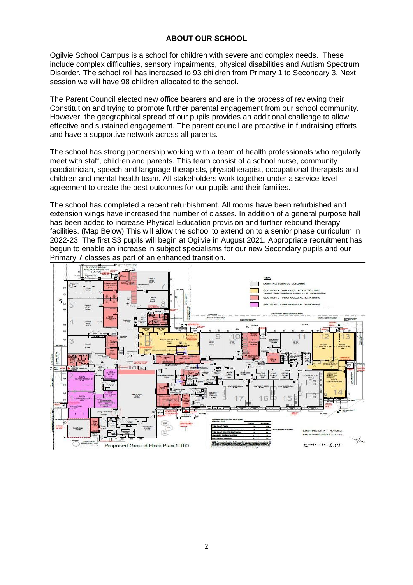#### **ABOUT OUR SCHOOL**

Ogilvie School Campus is a school for children with severe and complex needs. These include complex difficulties, sensory impairments, physical disabilities and Autism Spectrum Disorder. The school roll has increased to 93 children from Primary 1 to Secondary 3. Next session we will have 98 children allocated to the school.

The Parent Council elected new office bearers and are in the process of reviewing their Constitution and trying to promote further parental engagement from our school community. However, the geographical spread of our pupils provides an additional challenge to allow effective and sustained engagement. The parent council are proactive in fundraising efforts and have a supportive network across all parents.

The school has strong partnership working with a team of health professionals who regularly meet with staff, children and parents. This team consist of a school nurse, community paediatrician, speech and language therapists, physiotherapist, occupational therapists and children and mental health team. All stakeholders work together under a service level agreement to create the best outcomes for our pupils and their families.

The school has completed a recent refurbishment. All rooms have been refurbished and extension wings have increased the number of classes. In addition of a general purpose hall has been added to increase Physical Education provision and further rebound therapy facilities. (Map Below) This will allow the school to extend on to a senior phase curriculum in 2022-23. The first S3 pupils will begin at Ogilvie in August 2021. Appropriate recruitment has begun to enable an increase in subject specialisms for our new Secondary pupils and our Primary 7 classes as part of an enhanced transition.

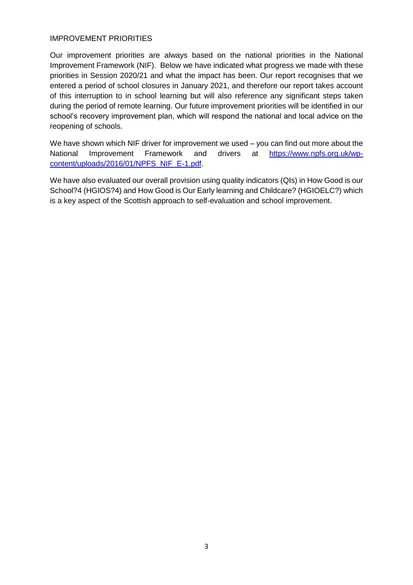#### IMPROVEMENT PRIORITIES

Our improvement priorities are always based on the national priorities in the National Improvement Framework (NIF). Below we have indicated what progress we made with these priorities in Session 2020/21 and what the impact has been. Our report recognises that we entered a period of school closures in January 2021, and therefore our report takes account of this interruption to in school learning but will also reference any significant steps taken during the period of remote learning. Our future improvement priorities will be identified in our school's recovery improvement plan, which will respond the national and local advice on the reopening of schools.

We have shown which NIF driver for improvement we used – you can find out more about the National Improvement Framework and drivers at [https://www.npfs.org.uk/wp](https://www.npfs.org.uk/wp-content/uploads/2016/01/NPFS_NIF_E-1.pdf)[content/uploads/2016/01/NPFS\\_NIF\\_E-1.pdf.](https://www.npfs.org.uk/wp-content/uploads/2016/01/NPFS_NIF_E-1.pdf)

We have also evaluated our overall provision using quality indicators (QIs) in How Good is our School?4 (HGIOS?4) and How Good is Our Early learning and Childcare? (HGIOELC?) which is a key aspect of the Scottish approach to self-evaluation and school improvement.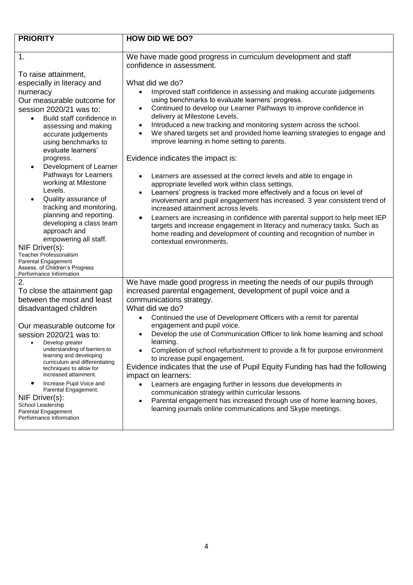| <b>PRIORITY</b>                                                                                                                                                                                                                                                                                                                                                                                                                                                                                                                                                                                                    | <b>HOW DID WE DO?</b>                                                                                                                                                                                                                                                                                                                                                                                                                                                                                                                                                                                                                                                                                                                                                                                                                                                                                                                                                                                                                                                                                                                                |
|--------------------------------------------------------------------------------------------------------------------------------------------------------------------------------------------------------------------------------------------------------------------------------------------------------------------------------------------------------------------------------------------------------------------------------------------------------------------------------------------------------------------------------------------------------------------------------------------------------------------|------------------------------------------------------------------------------------------------------------------------------------------------------------------------------------------------------------------------------------------------------------------------------------------------------------------------------------------------------------------------------------------------------------------------------------------------------------------------------------------------------------------------------------------------------------------------------------------------------------------------------------------------------------------------------------------------------------------------------------------------------------------------------------------------------------------------------------------------------------------------------------------------------------------------------------------------------------------------------------------------------------------------------------------------------------------------------------------------------------------------------------------------------|
|                                                                                                                                                                                                                                                                                                                                                                                                                                                                                                                                                                                                                    |                                                                                                                                                                                                                                                                                                                                                                                                                                                                                                                                                                                                                                                                                                                                                                                                                                                                                                                                                                                                                                                                                                                                                      |
| 1.                                                                                                                                                                                                                                                                                                                                                                                                                                                                                                                                                                                                                 | We have made good progress in curriculum development and staff<br>confidence in assessment.                                                                                                                                                                                                                                                                                                                                                                                                                                                                                                                                                                                                                                                                                                                                                                                                                                                                                                                                                                                                                                                          |
| To raise attainment,<br>especially in literacy and<br>numeracy<br>Our measurable outcome for<br>session 2020/21 was to:<br>Build staff confidence in<br>assessing and making<br>accurate judgements<br>using benchmarks to<br>evaluate learners'<br>progress.<br>Development of Learner<br>Pathways for Learners<br>working at Milestone<br>Levels.<br>Quality assurance of<br>tracking and monitoring,<br>planning and reporting.<br>developing a class team<br>approach and<br>empowering all staff.<br>NIF Driver(s):<br><b>Teacher Professonalism</b><br>Parental Engagement<br>Assess. of Children's Progress | What did we do?<br>Improved staff confidence in assessing and making accurate judgements<br>$\bullet$<br>using benchmarks to evaluate learners' progress.<br>Continued to develop our Learner Pathways to improve confidence in<br>$\bullet$<br>delivery at Milestone Levels.<br>Introduced a new tracking and monitoring system across the school.<br>$\bullet$<br>We shared targets set and provided home learning strategies to engage and<br>$\bullet$<br>improve learning in home setting to parents.<br>Evidence indicates the impact is:<br>Learners are assessed at the correct levels and able to engage in<br>appropriate levelled work within class settings.<br>Learners' progress is tracked more effectively and a focus on level of<br>$\bullet$<br>involvement and pupil engagement has increased. 3 year consistent trend of<br>increased attainment across levels.<br>Learners are increasing in confidence with parental support to help meet IEP<br>targets and increase engagement in literacy and numeracy tasks. Such as<br>home reading and development of counting and recognition of number in<br>contextual environments. |
| Performance Information<br>2.<br>To close the attainment gap<br>between the most and least                                                                                                                                                                                                                                                                                                                                                                                                                                                                                                                         | We have made good progress in meeting the needs of our pupils through<br>increased parental engagement, development of pupil voice and a<br>communications strategy.                                                                                                                                                                                                                                                                                                                                                                                                                                                                                                                                                                                                                                                                                                                                                                                                                                                                                                                                                                                 |
| disadvantaged children<br>Our measurable outcome for<br>session 2020/21 was to:<br>Develop greater<br>understanding of barriers to<br>learning and developing<br>curriculum and differentiating<br>techniques to allow for<br>increased attainment.<br>Increase Pupil Voice and<br>$\bullet$<br>Parental Engagement.<br>NIF Driver(s):<br>School Leadership<br>Parental Engagement<br>Performance Information                                                                                                                                                                                                      | What did we do?<br>Continued the use of Development Officers with a remit for parental<br>$\bullet$<br>engagement and pupil voice.<br>Develop the use of Communication Officer to link home learning and school<br>$\bullet$<br>learning.<br>Completion of school refurbishment to provide a fit for purpose environment<br>to increase pupil engagement.<br>Evidence indicates that the use of Pupil Equity Funding has had the following<br>impact on learners:<br>Learners are engaging further in lessons due developments in<br>communication strategy within curricular lessons.<br>Parental engagement has increased through use of home learning boxes,<br>$\bullet$<br>learning journals online communications and Skype meetings.                                                                                                                                                                                                                                                                                                                                                                                                          |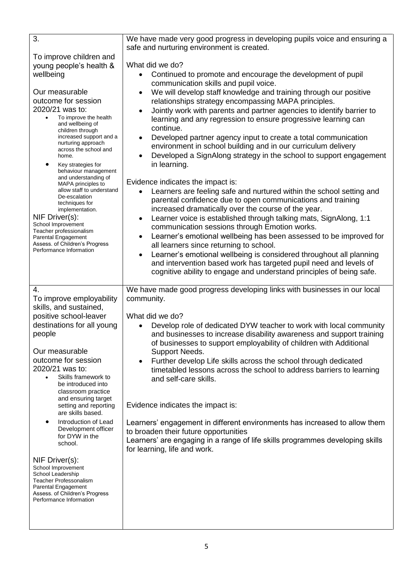| $\overline{3}$ .                                                                                                                                                                                                                                                                                                                                                                                                                                                                                                                                                                                                                                | We have made very good progress in developing pupils voice and ensuring a<br>safe and nurturing environment is created.                                                                                                                                                                                                                                                                                                                                                                                                                                                                                                                                                                                                                                                                                                                                                                                                                                                                                                                                                                                                                                                                                                                                                                                                                                                                                                |  |
|-------------------------------------------------------------------------------------------------------------------------------------------------------------------------------------------------------------------------------------------------------------------------------------------------------------------------------------------------------------------------------------------------------------------------------------------------------------------------------------------------------------------------------------------------------------------------------------------------------------------------------------------------|------------------------------------------------------------------------------------------------------------------------------------------------------------------------------------------------------------------------------------------------------------------------------------------------------------------------------------------------------------------------------------------------------------------------------------------------------------------------------------------------------------------------------------------------------------------------------------------------------------------------------------------------------------------------------------------------------------------------------------------------------------------------------------------------------------------------------------------------------------------------------------------------------------------------------------------------------------------------------------------------------------------------------------------------------------------------------------------------------------------------------------------------------------------------------------------------------------------------------------------------------------------------------------------------------------------------------------------------------------------------------------------------------------------------|--|
| To improve children and<br>young people's health &<br>wellbeing<br>Our measurable<br>outcome for session<br>2020/21 was to:<br>To improve the health<br>$\bullet$<br>and wellbeing of<br>children through<br>increased support and a<br>nurturing approach<br>across the school and<br>home.<br>$\bullet$<br>Key strategies for<br>behaviour management<br>and understanding of<br>MAPA principles to<br>allow staff to understand<br>De-escalation<br>techniques for<br>implementation.<br>NIF Driver(s):<br>School Improvement<br>Teacher professionalism<br>Parental Engagement<br>Assess. of Children's Progress<br>Performance Information | What did we do?<br>Continued to promote and encourage the development of pupil<br>communication skills and pupil voice.<br>We will develop staff knowledge and training through our positive<br>٠<br>relationships strategy encompassing MAPA principles.<br>Jointly work with parents and partner agencies to identify barrier to<br>$\bullet$<br>learning and any regression to ensure progressive learning can<br>continue.<br>Developed partner agency input to create a total communication<br>$\bullet$<br>environment in school building and in our curriculum delivery<br>Developed a SignAlong strategy in the school to support engagement<br>$\bullet$<br>in learning.<br>Evidence indicates the impact is:<br>Learners are feeling safe and nurtured within the school setting and<br>parental confidence due to open communications and training<br>increased dramatically over the course of the year.<br>Learner voice is established through talking mats, SignAlong, 1:1<br>$\bullet$<br>communication sessions through Emotion works.<br>Learner's emotional wellbeing has been assessed to be improved for<br>$\bullet$<br>all learners since returning to school.<br>Learner's emotional wellbeing is considered throughout all planning<br>$\bullet$<br>and intervention based work has targeted pupil need and levels of<br>cognitive ability to engage and understand principles of being safe. |  |
| 4.<br>To improve employability<br>skills, and sustained,<br>positive school-leaver<br>destinations for all young<br>people<br>Our measurable<br>outcome for session<br>2020/21 was to:<br>Skills framework to<br>$\bullet$<br>be introduced into<br>classroom practice<br>and ensuring target<br>setting and reporting<br>are skills based.<br>Introduction of Lead<br>Development officer<br>for DYW in the<br>school.<br>NIF Driver(s):<br>School Improvement<br>School Leadership<br><b>Teacher Professonalism</b><br>Parental Engagement<br>Assess. of Children's Progress<br>Performance Information                                       | We have made good progress developing links with businesses in our local<br>community.<br>What did we do?<br>Develop role of dedicated DYW teacher to work with local community<br>and businesses to increase disability awareness and support training<br>of businesses to support employability of children with Additional<br>Support Needs.<br>Further develop Life skills across the school through dedicated<br>timetabled lessons across the school to address barriers to learning<br>and self-care skills.<br>Evidence indicates the impact is:<br>Learners' engagement in different environments has increased to allow them<br>to broaden their future opportunities<br>Learners' are engaging in a range of life skills programmes developing skills<br>for learning, life and work.                                                                                                                                                                                                                                                                                                                                                                                                                                                                                                                                                                                                                       |  |